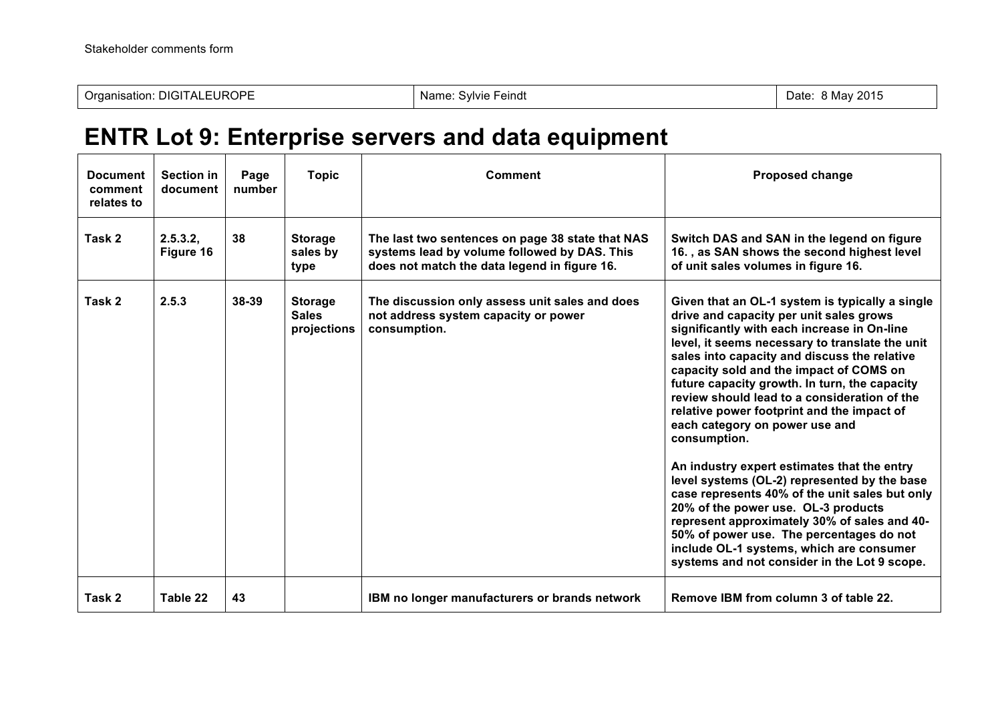## **ENTR Lot 9: Enterprise servers and data equipment**

| <b>Document</b><br>comment<br>relates to | <b>Section in</b><br>document | Page<br>number | <b>Topic</b>                                  | Comment                                                                                                                                          | <b>Proposed change</b>                                                                                                                                                                                                                                                                                                                                                                                                                                                                                                                                                                                                                                                                                                                                                                                                                                                   |
|------------------------------------------|-------------------------------|----------------|-----------------------------------------------|--------------------------------------------------------------------------------------------------------------------------------------------------|--------------------------------------------------------------------------------------------------------------------------------------------------------------------------------------------------------------------------------------------------------------------------------------------------------------------------------------------------------------------------------------------------------------------------------------------------------------------------------------------------------------------------------------------------------------------------------------------------------------------------------------------------------------------------------------------------------------------------------------------------------------------------------------------------------------------------------------------------------------------------|
| Task 2                                   | 2.5.3.2,<br>Figure 16         | 38             | <b>Storage</b><br>sales by<br>type            | The last two sentences on page 38 state that NAS<br>systems lead by volume followed by DAS. This<br>does not match the data legend in figure 16. | Switch DAS and SAN in the legend on figure<br>16., as SAN shows the second highest level<br>of unit sales volumes in figure 16.                                                                                                                                                                                                                                                                                                                                                                                                                                                                                                                                                                                                                                                                                                                                          |
| Task 2                                   | 2.5.3                         | 38-39          | <b>Storage</b><br><b>Sales</b><br>projections | The discussion only assess unit sales and does<br>not address system capacity or power<br>consumption.                                           | Given that an OL-1 system is typically a single<br>drive and capacity per unit sales grows<br>significantly with each increase in On-line<br>level, it seems necessary to translate the unit<br>sales into capacity and discuss the relative<br>capacity sold and the impact of COMS on<br>future capacity growth. In turn, the capacity<br>review should lead to a consideration of the<br>relative power footprint and the impact of<br>each category on power use and<br>consumption.<br>An industry expert estimates that the entry<br>level systems (OL-2) represented by the base<br>case represents 40% of the unit sales but only<br>20% of the power use. OL-3 products<br>represent approximately 30% of sales and 40-<br>50% of power use. The percentages do not<br>include OL-1 systems, which are consumer<br>systems and not consider in the Lot 9 scope. |
| Task 2                                   | Table 22                      | 43             |                                               | IBM no longer manufacturers or brands network                                                                                                    | Remove IBM from column 3 of table 22.                                                                                                                                                                                                                                                                                                                                                                                                                                                                                                                                                                                                                                                                                                                                                                                                                                    |